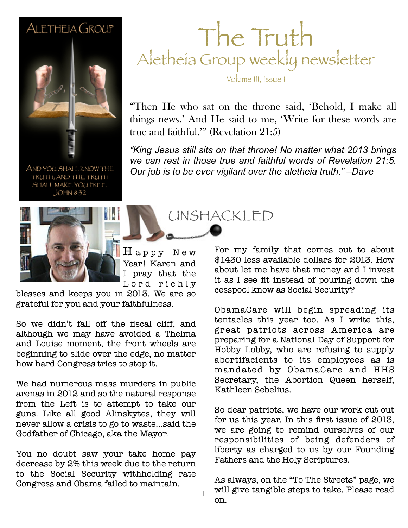#### ALETHEIA GROUP



AND YOU SHALL KNOW THE TRUTH, AND THE TRUTH SHALL MAKE YOU FREE.  $JOHM 8:32$ 



 $Hap$ py New Year! Karen and I pray that the Lord richly

1

blesses and keeps you in 2013. We are so grateful for you and your faithfulness.

So we didn't fall off the fiscal cliff, and although we may have avoided a Thelma and Louise moment, the front wheels are beginning to slide over the edge, no matter how hard Congress tries to stop it.

We had numerous mass murders in public arenas in 2012 and so the natural response from the Left is to attempt to take our guns. Like all good Alinskytes, they will never allow a crisis to go to waste...said the Godfather of Chicago, aka the Mayor.

You no doubt saw your take home pay decrease by 2% this week due to the return to the Social Security withholding rate Congress and Obama failed to maintain.

#### The Truth Aletheia Group weekly newsletter

Volume III, Issue 1

"Then He who sat on the throne said, 'Behold, I make all things news.' And He said to me, 'Write for these words are true and faithful.'" (Revelation 21:5)

**February 26, 2011 Sample** *"King Jesus still sits on that throne! No matter what 2013 brings we can rest in those true and faithful words of Revelation 21:5. Our job is to be ever vigilant over the aletheia truth." –Dave*

UNSHACKLED

For my family that comes out to about \$1430 less available dollars for 2013. How about let me have that money and I invest it as I see fit instead of pouring down the cesspool know as Social Security?

ObamaCare will begin spreading its tentacles this year too. As I write this, great patriots across America are preparing for a National Day of Support for Hobby Lobby, who are refusing to supply abortifacients to its employees as is mandated by ObamaCare and HHS Secretary, the Abortion Queen herself, Kathleen Sebelius.

So dear patriots, we have our work cut out for us this year. In this first issue of 2013, we are going to remind ourselves of our responsibilities of being defenders of liberty as charged to us by our Founding Fathers and the Holy Scriptures.

As always, on the "To The Streets" page, we will give tangible steps to take. Please read on.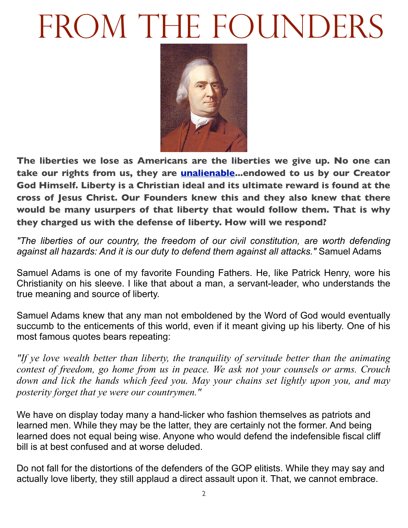# FROM THE FOUNDERS



**The liberties we lose as Americans are the liberties we give up. No one can take our rights from us, they are [unalienable.](http://www.archives.gov/exhibits/charters/declaration_transcript.html)..endowed to us by our Creator God Himself. Liberty is a Christian ideal and its ultimate reward is found at the cross of Jesus Christ. Our Founders knew this and they also knew that there would be many usurpers of that liberty that would follow them. That is why they charged us with the defense of liberty. How will we respond?** 

*"The liberties of our country, the freedom of our civil constitution, are worth defending against all hazards: And it is our duty to defend them against all attacks."* Samuel Adams

Samuel Adams is one of my favorite Founding Fathers. He, like Patrick Henry, wore his Christianity on his sleeve. I like that about a man, a servant-leader, who understands the true meaning and source of liberty.

Samuel Adams knew that any man not emboldened by the Word of God would eventually succumb to the enticements of this world, even if it meant giving up his liberty. One of his most famous quotes bears repeating:

*"If ye love wealth better than liberty, the tranquility of servitude better than the animating contest of freedom, go home from us in peace. We ask not your counsels or arms. Crouch down and lick the hands which feed you. May your chains set lightly upon you, and may posterity forget that ye were our countrymen."*

We have on display today many a hand-licker who fashion themselves as patriots and learned men. While they may be the latter, they are certainly not the former. And being learned does not equal being wise. Anyone who would defend the indefensible fiscal cliff bill is at best confused and at worse deluded.

Do not fall for the distortions of the defenders of the GOP elitists. While they may say and actually love liberty, they still applaud a direct assault upon it. That, we cannot embrace.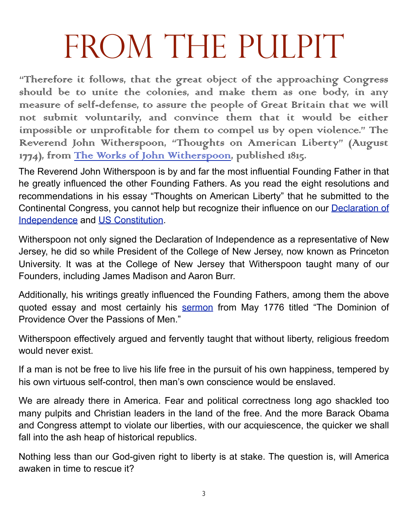# FROM THE PULPIT

"Therefore it follows, that the great object of the approaching Congress should be to unite the colonies, and make them as one body, in any measure of self-defense, to assure the people of Great Britain that we will not submit voluntarily, and convince them that it would be either impossible or unprofitable for them to compel us by open violence." The Reverend John Witherspoon, "Thoughts on American Liberty" (August 1774), from The Works of John Witherspoon, published 1815.

The Reverend John Witherspoon is by and far the most influential Founding Father in that he greatly influenced the other Founding Fathers. As you read the eight resolutions and recommendations in his essay "Thoughts on American Liberty" that he submitted to the Continental Congress, you cannot help but recognize their influence on our [Declaration of](http://www.archives.gov/exhibits/charters/declaration_transcript.html) [Independence](http://www.archives.gov/exhibits/charters/declaration_transcript.html) and [US Constitution.](http://www.archives.gov/exhibits/charters/constitution_transcript.html)

Witherspoon not only signed the Declaration of Independence as a representative of New Jersey, he did so while President of the College of New Jersey, now known as Princeton University. It was at the College of New Jersey that Witherspoon taught many of our Founders, including James Madison and Aaron Burr.

Additionally, his writings greatly influenced the Founding Fathers, among them the above quoted essay and most certainly his [sermon](http://www.constitution.org/primarysources/witherspoon.html) from May 1776 titled "The Dominion of Providence Over the Passions of Men."

Witherspoon effectively argued and fervently taught that without liberty, religious freedom would never exist.

If a man is not be free to live his life free in the pursuit of his own happiness, tempered by his own virtuous self-control, then man's own conscience would be enslaved.

We are already there in America. Fear and political correctness long ago shackled too many pulpits and Christian leaders in the land of the free. And the more Barack Obama and Congress attempt to violate our liberties, with our acquiescence, the quicker we shall fall into the ash heap of historical republics.

Nothing less than our God-given right to liberty is at stake. The question is, will America awaken in time to rescue it?